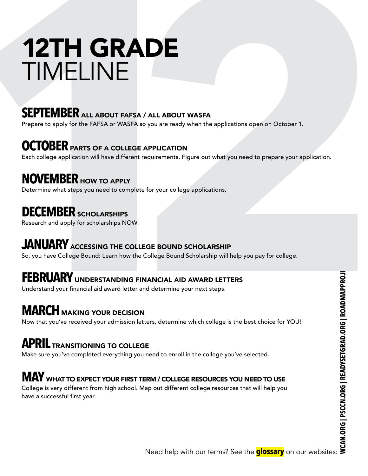# 12TH GRADE TIMELINE

### **SEPTEMBER** ALL ABOUT FAFSA / ALL ABOUT WASFA

Prepare to apply for the FAFSA or WASFA so you are ready when the applications open on October 1.

### **OCTOBER** PARTS OF A COLLEGE APPLICATION

Each college application will have different requirements. Figure out what you need to prepare your application.

### **NOVEMBER** HOW TO APPLY

Determine what steps you need to complete for your college applications.

### **DECEMBER** SCHOLARSHIPS

Research and apply for scholarships NOW.

### **JANUARY** ACCESSING THE COLLEGE BOUND SCHOLARSHIP

So, you have College Bound: Learn how the College Bound Scholarship will help you pay for college.

### **FEBRUARY** UNDERSTANDING FINANCIAL AID AWARD LETTERS

Understand your financial aid award letter and determine your next steps.

### **MARCH** MAKING YOUR DECISION

Now that you've received your admission letters, determine which college is the best choice for YOU!

### **APRIL** TRANSITIONING TO COLLEGE

Make sure you've completed everything you need to enroll in the college you've selected.

### **MAY** WHAT TO EXPECT YOUR FIRST TERM / COLLEGE RESOURCES YOU NEED TO USE

NANCIAL AID AWARD LETTERS<br>
Ind determine your next steps.<br>
V<br>
V<br>
N<br>
The steps of the best choice for YOU!<br>
SE<br>
In need to enroll in the college you've selected.<br>
ERM / COLLEGE RESOURCES YOU NEED TO USE<br>
Map out different c College is very different from high school. Map out different college resources that will help you have a successful first year.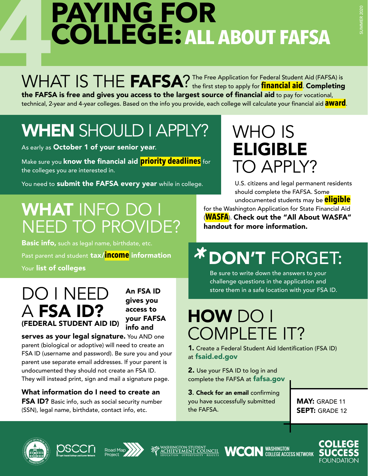# **4PAYING FOR<br>COLLEGE: ALL<br>WHAT IS THE FAFSA?** The Free **COLLEGE:ALL ABOUT FAFSA**

WHAT IS THE FAFSA? The Free Application for Federal Student Aid (FAFSA) is **Starter and Completing** the FAFSA is free and gives you access to the largest source of financial aid to pay for vocational, technical, 2-year and 4-year colleges. Based on the info you provide, each college will calculate your financial aid **award**.

# WHEN SHOULD I APPLY?

As early as October 1 of your senior year.

Make sure you know the financial aid **priority deadlines** for the colleges you are interested in.

You need to submit the FAFSA every year while in college.

# WHAT INFO DO I NEED TO PROVIDE?

Basic info, such as legal name, birthdate, etc. Past parent and student tax/**income** information Your list of colleges

### DO I NEED A FSA ID? (FEDERAL STUDENT AID ID)

An FSA ID gives you access to your FAFSA info and

serves as your legal signature. You AND one parent (biological or adoptive) will need to create an FSA ID (username and password). Be sure you and your parent use separate email addresses. If your parent is undocumented they should not create an FSA ID. They will instead print, sign and mail a signature page.

What information do I need to create an FSA ID? Basic info, such as social security number (SSN), legal name, birthdate, contact info, etc.

# WHO IS **ELIGIBLE** TO APPLY?

U.S. citizens and legal permanent residents should complete the FAFSA. Some undocumented students may be **eligible**

for the Washington Application for State Financial Aid (**WASFA**). Check out the "All About WASFA" handout for more information.

# <sup>*\**</sup> DON'T FORGET:<br>
<sup>Be sure to write down the answers to your<br>
challenge questions in the anglication and</sup>

Be sure to write down the answers to your challenge questions in the application and store them in a safe location with your FSA ID.

# HOW DO I COMPLETE IT?

1. Create a Federal Student Aid Identification (FSA ID) at [fsaid.ed.gov](http://fsaid.ed.gov)

2. Use your FSA ID to log in and complete the FAFSA at [fafsa.gov](http://fafsa.gov)

3. Check for an email confirming you have successfully submitted the FAFSA.

MAY: GRADE 11 SEPT: GRADE 12







**WCCIN** WASHINGTON

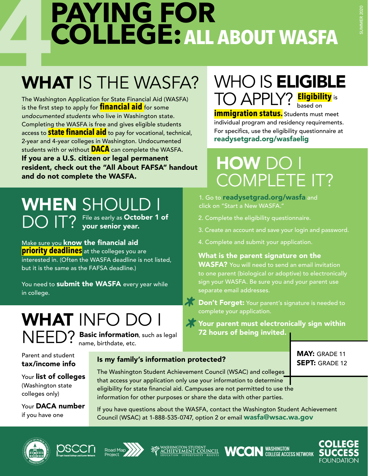# **4 PAYING FOR<br>COLLEGE: ALL**<br>WHAT IS THE WASFA? **COLLEGE:ALL ABOUT WASFA**

# WHAT IS THE WASFA?

The Washington Application for State Financial Aid (WASFA) is the first step to apply for **financial aid** for some *undocumented students* who live in Washington state. Completing the WASFA is free and gives eligible students access to **state financial aid** to pay for vocational, technical, 2-year and 4-year colleges in Washington. Undocumented students with or without **DACA** can complete the WASFA. If you are a U.S. citizen or legal permanent resident, check out the "All About FAFSA" handout and do not complete the WASFA.

# WHO IS **ELIGIBLE** TO APPLY? **Eligibility** is based on

**immigration status.** Students must meet individual program and residency requirements. For specifics, use the eligibility questionnaire at [readysetgrad.org/wasfa](http://readysetgrad.org/wasfaelig)elig

# HOW DO I COMPLETE IT?

1. Go to [readysetgrad.org/wasfa](http://readysetgrad.org/wasfa) and click on "Start a New WASFA."

- 2. Complete the eligibility questionnaire.
- 3. Create an account and save your login and password.
- 4. Complete and submit your application.

#### What is the parent signature on the

**WASFA?** You will need to send an email invitation to one parent (biological or adoptive) to electronically sign your WASFA. Be sure you and your parent use separate email addresses.

**X** Don't Forget: Your parent's signature is needed to complete your application. **Example 1 Forget:** Your parent is signature is needed to<br>
complete your application.<br> **AY** Your parent must electronically sign within

72 hours of being invited. **\***

> MAY: GRADE 11 SEPT: GRADE 12

# WHEN SHOULD I DO IT? File as early as October 1 of point of the searly as October 1 of

Make sure you know the financial aid **priority deadlines** at the colleges you are interested in. (Often the WASFA deadline is not listed, but it is the same as the FAFSA deadline.)

You need to **submit the WASFA** every year while in college.

# WHAT INFO DO

NEED? Basic information, such as legal name, birthdate, etc.

Parent and student tax/income info

Your list of colleges (Washington state colleges only)

Your DACA number if you have one

### Is my family's information protected?

The Washington Student Achievement Council (WSAC) and colleges that access your application only use your information to determine eligibility for state financial aid. Campuses are not permitted to use the information for other purposes or share the data with other parties.

If you have questions about the WASFA, contact the Washington Student Achievement Council (WSAC) at 1-888-535-0747, option 2 or email [wasfa@wsac.wa.gov](http://wasfa%40wsac.wa.gov)











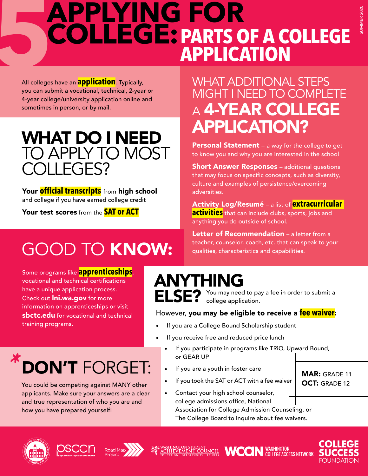# **SAPPLYING FOR COLLEGE: PARTS ON APPLICA COLLEGE:PARTS OF A COLLEGE APPLICATION**

All colleges have an **application**. Typically, you can submit a vocational, technical, 2-year or 4-year college/university application online and sometimes in person, or by mail.

### WHAT DO I NEED TO APPLY TO MOST COLLEGES?

Your **official transcripts** from high school and college if you have earned college credit

Your test scores from the **SAT or ACT**

# GOOD TO KNOW:

Some programs like **apprenticeships**, vocational and technical certifications have a unique application process. Check out **Ini.wa.gov** for more information on apprenticeships or visit [sbctc.edu](http://sbctc.edu) for vocational and technical training programs.

# DON'T FORGET: **\***

You could be competing against MANY other applicants. Make sure your answers are a clear and true representation of who you are and how you have prepared yourself!

### WHAT ADDITIONAL STEPS MIGHT I NEED TO COMPLETE <sup>A</sup> 4-YEAR COLLEGE APPLICATION?

**Personal Statement** – a way for the college to get to know you and why you are interested in the school

**Short Answer Responses** – additional questions that may focus on specific concepts, such as diversity, culture and examples of persistence/overcoming adversities.

Activity Log/Resumé – a list of **extracurricular activities** that can include clubs, sports, jobs and anything you do outside of school.

Letter of Recommendation - a letter from a teacher, counselor, coach, etc. that can speak to your qualities, characteristics and capabilities.

### ANYTHING

You may need to pay a fee in order to submit a ELSE? You may need to pay

#### However, you may be eligible to receive a **fee waiver**:

- If you are a College Bound Scholarship student
- If you receive free and reduced price lunch
	- If you participate in programs like TRiO, Upward Bound, or GEAR UP
	- If you are a youth in foster care
	- If you took the SAT or ACT with a fee waiver
	- Contact your high school counselor, college admissions office, National Association for College Admission Counseling, or The College Board to inquire about fee waivers.











MAR: GRADE 11 OCT: GRADE 12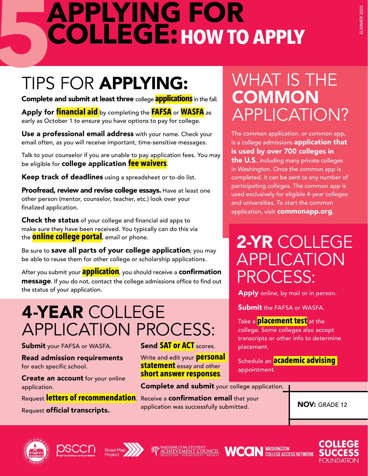# **5 APPLYING FOR<br>COLLEGE: HOW TO**<br>TIPS FOR APPLYING: W **COLLEGE:HOW TO APPLY**

# TIPS FOR APPLYING:

Complete and submit at least three college **applications** in the fall.

Apply for **financial aid** by completing the **FAFSA** or **WASFA** as early as October 1 to ensure you have options to pay for college.

Use a professional email address with your name. Check your email often, as you will receive important, time-sensitive messages.

Talk to your counselor if you are unable to pay application fees. You may be eligible for college application **fee waivers**.

Keep track of deadlines using a spreadsheet or to-do list.

Proofread, review and revise college essays. Have at least one other person (mentor, counselor, teacher, etc.) look over your finalized application.

**Check the status** of your college and financial aid apps to make sure they have been received. You typically can do this via the **online college portal**, email or phone.

Be sure to **save all parts of your college application**; you may be able to reuse them for other college or scholarship applications.

After you submit your **application**, you should receive a confirmation message. If you do not, contact the college admissions office to find out the status of your application.

# 4-YEAR COLLEGE APPLICATION PROCESS:

**Submit** your FAFSA or WASFA.

Read admission requirements for each specific school.

**Create an account** for your online application.

Request letters of recommendation. Receive a confirmation email that your Request **official transcripts.** 

### Send **SAT or ACT** scores.

Write and edit your **personal statement** essay and other **short answer responses**.

**Complete and submit** your college application.

application was successfully submitted.  $\blacksquare$  NOV: GRADE 12





֦









# WHAT IS THE **COMMON** APPLICATION?

The common application, or common app, is a college admissions **application that** is used by over 700 colleges in the U.S., including many private colleges in Washington. Once the common app is completed, it can be sent to any number of participating colleges. The common app is used exclusively for eligible 4-year colleges and universities. To start the common application, visit [commonapp.org](http://commonapp.org).

# 2-YR COLLEGE APPLICATION PROCESS:

**Apply** online, by mail or in person.

**Submit the FAFSA or WASFA.** 

Take a **placement test** at the college. Some colleges also accept transcripts or other info to determine placement.

Schedule an **academic advising**  appointment.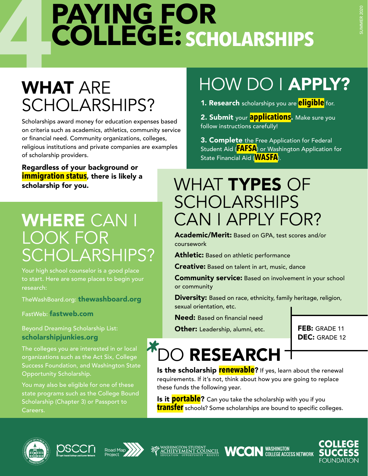# **4 PAYING FOR<br>COLLEGE: SCH<br>WHAT ARE COLLEGE: SCHOLARSHIPS**

# WHAT ARE SCHOLARSHIPS?

Scholarships award money for education expenses based on criteria such as academics, athletics, community service or financial need. Community organizations, colleges, religious institutions and private companies are examples of scholarship providers.

Regardless of your background or **immigration status**, there is likely a scholarship for you.

# WHERE CAN I LOOK FOR SCHOLARSHIPS?

Your high school counselor is a good place to start. Here are some places to begin your research:

TheWashBoard.org: [thewashboard.org](http://thewashboard.org)

FastWeb: [fastweb.com](http://fastweb.com)

#### Beyond Dreaming Scholarship List: [scholarshipjunkies.org](http://scholarshipjunkies.org)

The colleges you are interested in or local organizations such as the Act Six, College Success Foundation, and Washington State Opportunity Scholarship.

You may also be eligible for one of these state programs such as the College Bound Scholarship (Chapter 3) or Passport to Careers.

# HOW DO I APPLY?

1. Research scholarships you are **eligible** for.

2. Submit your **applications**. Make sure you follow instructions carefully!

3. Complete the Free Application for Federal Student Aid (**FAFSA**) or Washington Application for State Financial Aid (**WASFA**).

# WHAT TYPES OF **SCHOLARSHIPS** CAN I APPLY FOR?

Academic/Merit: Based on GPA, test scores and/or coursework

Athletic: Based on athletic performance

**Creative:** Based on talent in art, music, dance

**Community service:** Based on involvement in your school or community

**Diversity:** Based on race, ethnicity, family heritage, religion, sexual orientation, etc.

Need: Based on financial need

Other: Leadership, alumni, etc. FEB: GRADE 11

DEC: GRADE 12

### O RESEARCH **Is the scholarship renewable?** If yes, learn about the renewal **\***

requirements. If it's not, think about how you are going to replace these funds the following year.

Is it **portable**? Can you take the scholarship with you if you **transfer** schools? Some scholarships are bound to specific colleges.









COLI **WCON** WASHINGTON

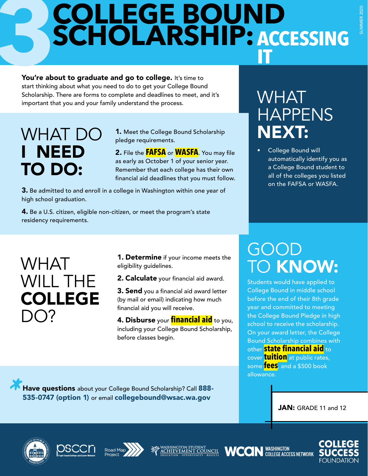# **COLLEGE BOUND SCHOLARSHIP:ACCESSING IT**

**3** You're about to graduate and go to college. It's time to start thinking about what you need to do to get your College Bound Scholarship. There are forms to complete and deadlines to meet, and it's important that you and your family understand the process.

# WHAT DO I NEED TO DO:

1. Meet the College Bound Scholarship pledge requirements.

2. File the **FAFSA** or **WASFA**. You may file as early as October 1 of your senior year. Remember that each college has their own financial aid deadlines that you must follow.

3. Be admitted to and enroll in a college in Washington within one year of high school graduation.

4. Be a U.S. citizen, eligible non-citizen, or meet the program's state residency requirements.

## WHAT HAPPENS NEXT:

• College Bound will automatically identify you as a College Bound student to all of the colleges you listed on the FAFSA or WASFA.

### WHAT WILL THE COLLEGE  $\bigcap$

**1. Determine** if your income meets the eligibility guidelines.

2. Calculate your financial aid award.

**3. Send** you a financial aid award letter (by mail or email) indicating how much financial aid you will receive.

4. Disburse your **financial aid** to you, including your College Bound Scholarship, before classes begin.

# GOOD TO KNOW:

Students would have applied to College Bound in middle school before the end of their 8th grade year and committed to meeting the College Bound Pledge in high school to receive the scholarship. On your award letter, the College Bound Scholarship combines with other **state financial aid** to cover **tuition** at public rates, some **fees**, and a \$500 book allowance.

**1 Have questions** about your College Bound Scholarship? Call 888-<br>
535-0747 (option 1) or email collegebound@wsac.wa.gov 535-0747 (option 1) or email [collegebound@wsac.wa.gov](http://collegebound@wsac.wa.gov)

JAN: GRADE 11 and 12











**CON** WASHINGTON

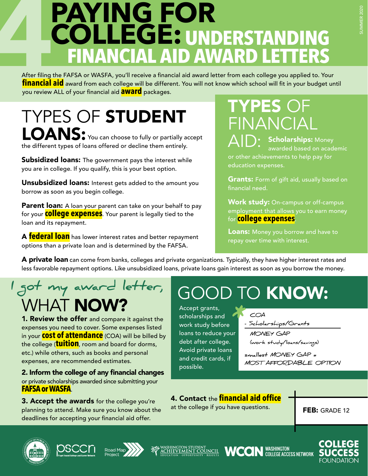After filing the FAFSA or WASFA, you'll receive a financial aid award letter from each college you applied to. Your **financial aid** award from each college will be different. You will not know which school will fit in your budget until you review ALL of your financial aid **award** packages.

TYPES OF STUDENT LOANS: You can choose to fully or partially accept the different types of loans offered or decline them entirely.

**Subsidized loans:** The government pays the interest while you are in college. If you qualify, this is your best option.

Unsubsidized loans: Interest gets added to the amount you borrow as soon as you begin college.

Parent loan: A loan your parent can take on your behalf to pay for your **college expenses**. Your parent is legally tied to the loan and its repayment.

A **federal loan** has lower interest rates and better repayment options than a private loan and is determined by the FAFSA.

TYPES OF FINANCIAL

 $\bigwedge \bigl\lceil \bigcup \bigr\rceil$ : Scholarships: Money<br>awarded based on acade awarded based on academic or other achievements to help pay for education expenses.

**Grants:** Form of gift aid, usually based on financial need.

**Work study:** On-campus or off-campus employment that allows you to earn money for **college expenses**.

Loans: Money you borrow and have to repay over time with interest.

A private loan can come from banks, colleges and private organizations. Typically, they have higher interest rates and less favorable repayment options. Like unsubsidized loans, private loans gain interest as soon as you borrow the money.

### WHAT **NOW? I got my award letter,**

**1. Review the offer** and compare it against the expenses you need to cover. Some expenses listed in your **cost of attendance** (COA) will be billed by the college (**tuition**, room and board for dorms, etc.) while others, such as books and personal expenses, are recommended estimates.

2. Inform the college of any financial changes or private scholarships awarded since submitting your **FAFSA or WASFA**.

**3. Accept the awards** for the college you're planning to attend. Make sure you know about the deadlines for accepting your financial aid offer.

# GOOD TO KNOW:

Accept grants, scholarships and work study before loans to reduce your debt after college. Avoid private loans and credit cards, if possible. **\***

 **COA**

**- Scholarships/Grants**

 **MONEY GAP (work study/loans/savings)**

**smallest MONEY GAP = MOST AFFORDABLE OPTION**

### 4. Contact the **financial aid office**

at the college if you have questions.

FEB: GRADE 12









**WCCIN** WASHINGTON

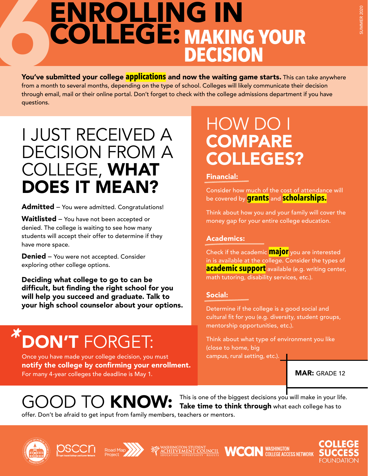# ENROLLING IN<br>
COLLEGE: MAKING<br>
DECISIO<br>
You've submitted your college applications and now the waiting gan<br>
from a month to several months, depending on the type of school. Colleges will likely **COLLEGE:MAKING YOUR DECISION**

You've submitted your college **applications** and now the waiting game starts. This can take anywhere from a month to several months, depending on the type of school. Colleges will likely communicate their decision through email, mail or their online portal. Don't forget to check with the college admissions department if you have questions.

## I JUST RECEIVED A DECISION FROM A COLLEGE, WHAT DOES IT MEAN?

Admitted - You were admitted. Congratulations!

Waitlisted – You have not been accepted or denied. The college is waiting to see how many students will accept their offer to determine if they have more space.

**Denied** – You were not accepted. Consider exploring other college options.

Deciding what college to go to can be difficult, but finding the right school for you will help you succeed and graduate. Talk to your high school counselor about your options.

### DON'T FORGET: **\***

Once you have made your college decision, you must notify the college by confirming your enrollment. For many 4-year colleges the deadline is May 1.

### HOW DO I **COMPARE** COLLEGES?

#### Financial:

Consider how much of the cost of attendance will be covered by **grants** and **scholarships.**

Think about how you and your family will cover the money gap for your entire college education.

#### Academics:

Check if the academic **major** you are interested in is available at the college. Consider the types of **academic support** available (e.g. writing center, math tutoring, disability services, etc.).

#### Social:

Determine if the college is a good social and cultural fit for you (e.g. diversity, student groups, mentorship opportunities, etc.).

Think about what type of environment you like (close to home, big campus, rural setting, etc.).

MAR: GRADE 12

# GOOD TO KNOW:

This is one of the biggest decisions you will make in your life. Take time to think through what each college has to offer. Don't be afraid to get input from family members, teachers or mentors.











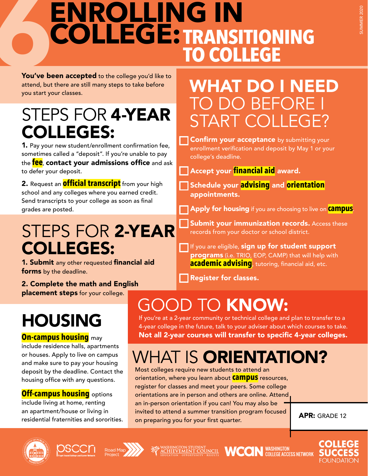# ENROLLING IN<br>
COLLEGE: TRANSIT<br>
You've been accepted to the college you'd like to<br>
attend, but there are still many steps to take before<br>
WHAT I **COLLEGE:TRANSITIONING TO COLLEGE**

You've been accepted to the college you'd like to attend, but there are still many steps to take before you start your classes.

# STEPS FOR 4-YEAR COLLEGES:

1. Pay your new student/enrollment confirmation fee, sometimes called a "deposit". If you're unable to pay the **fee**, contact your admissions office and ask to defer your deposit.

2. Request an **official transcript** from your high school and any colleges where you earned credit. Send transcripts to your college as soon as final grades are posted.

STEPS FOR 2-YEAR

1. Submit any other requested financial aid

2. Complete the math and English placement steps for your college.

forms by the deadline.

HOUSING

**On-campus housing** may

include residence halls, apartments or houses. Apply to live on campus and make sure to pay your housing deposit by the deadline. Contact the housing office with any questions.

**Off-campus housing** options include living at home, renting an apartment/house or living in residential fraternities and sororities.

COLLEGES:

# WHAT DO I NEED TO DO BEFORE I START COLLEGE?

**Confirm your acceptance** by submitting your enrollment verification and deposit by May 1 or your college's deadline.

Accept your **financial aid** award.

Schedule your **advising** and **orientation** appointments.

Apply for housing if you are choosing to live on **campus**.

Submit your immunization records. Access these records from your doctor or school district.

**WCON** WASHINGTON

 $\blacksquare$  If you are eligible, sign up for student support programs (i.e. TRIO, EOP, CAMP) that will help with **academic advising**, tutoring, financial aid, etc.

Register for classes.

# GOOD TO KNOW:

If you're at a 2-year community or technical college and plan to transfer to a 4-year college in the future, talk to your adviser about which courses to take. Not all 2-year courses will transfer to specific 4-year colleges.

# WHAT IS ORIENTATION?

Most colleges require new students to attend an orientation, where you learn about **campus** resources, register for classes and meet your peers. Some college orientations are in person and others are online. Attend an in-person orientation if you can! You may also be invited to attend a summer transition program focused on preparing you for your first quarter.

APR: GRADE 12











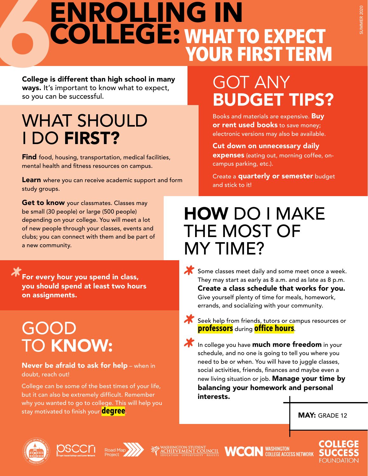# **ENROLLING IN<br>COLLEGE: WHAT TO EXPECT<br>YOUR FIRST TERM COLLEGE:** WHAT TO EXPECT

College is different than high school in many ways. It's important to know what to expect, so you can be successful.

# WHAT SHOULD I DO FIRST?

Find food, housing, transportation, medical facilities, mental health and fitness resources on campus.

**Learn** where you can receive academic support and form study groups.

Get to know your classmates. Classes may be small (30 people) or large (500 people) depending on your college. You will meet a lot of new people through your classes, events and clubs; you can connect with them and be part of a new community.

**T** For every hour you spend in class,<br>you should spend at least two hour<br>on assignments. you should spend at least two hours on assignments.

# GOOD TO KNOW:

Never be afraid to ask for help - when in doubt, reach out!

College can be some of the best times of your life, but it can also be extremely difficult. Remember why you wanted to go to college. This will help you stay motivated to finish your **degree**.

# GOT ANY BUDGET TIPS?

Books and materials are expensive. Buy **or rent used books** to save money; electronic versions may also be available.

Cut down on unnecessary daily expenses (eating out, morning coffee, oncampus parking, etc.).

Create a **quarterly or semester** budget and stick to it!

## HOW DO I MAKE THE MOST OF MY TIME?

- Some classes meet daily and some meet once a week.<br>They may start as early as 8 a.m. and as late as 8 p.m.<br>**Create a class schedule that works for you.** They may start as early as 8 a.m. and as late as 8 p.m. Create a class schedule that works for you. Give yourself plenty of time for meals, homework, errands, and socializing with your community.
- **\*\*** Seek help from friends, tutors or campus resources or<br>**professors** during **office hours**. **professors** during **office hours**.
- In college you have **much more freedom** in your<br>schedule, and no one is going to tell you where you<br>need to be or when. You will have to juggle classes, schedule, and no one is going to tell you where you need to be or when. You will have to juggle classes, social activities, friends, finances and maybe even a new living situation or job. Manage your time by balancing your homework and personal interests.

MAY: GRADE 12